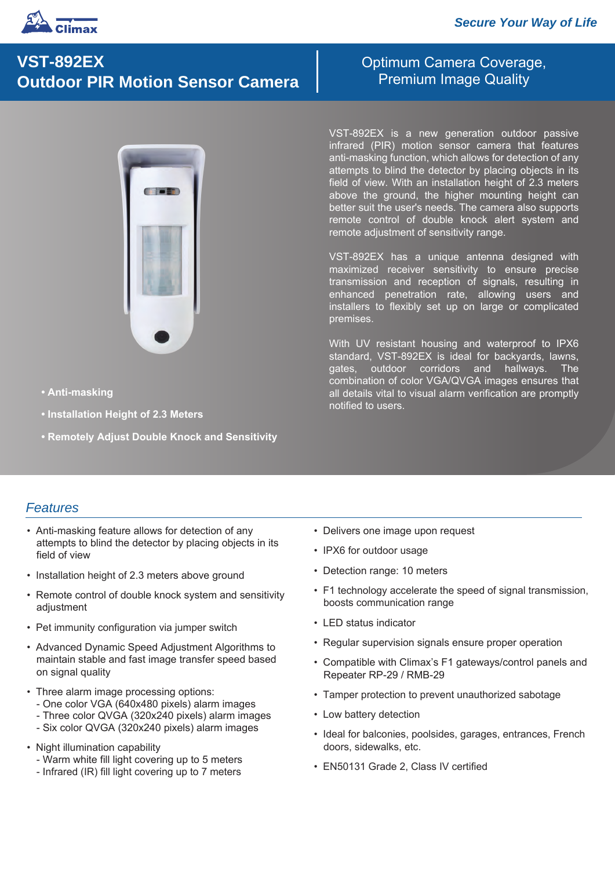

# **VST-892EX Outdoor PIR Motion Sensor Camera**

Optimum Camera Coverage, Premium Image Quality

VST-892EX is a new generation outdoor passive infrared (PIR) motion sensor camera that features anti-masking function, which allows for detection of any attempts to blind the detector by placing objects in its field of view. With an installation height of 2.3 meters above the ground, the higher mounting height can better suit the user's needs. The camera also supports remote control of double knock alert system and remote adjustment of sensitivity range.

VST-892EX has a unique antenna designed with maximized receiver sensitivity to ensure precise transmission and reception of signals, resulting in enhanced penetration rate, allowing users and installers to flexibly set up on large or complicated premises.

With UV resistant housing and waterproof to IPX6 standard, VST-892EX is ideal for backyards, lawns, gates, outdoor corridors and hallways. The combination of color VGA/QVGA images ensures that all details vital to visual alarm verification are promptly notified to users.

- **Anti-masking**
- **Installation Height of 2.3 Meters**
- **Remotely Adjust Double Knock and Sensitivity**

## *Features*

- Anti-masking feature allows for detection of any attempts to blind the detector by placing objects in its field of view
- Installation height of 2.3 meters above ground
- Remote control of double knock system and sensitivity adjustment
- Pet immunity configuration via jumper switch
- Advanced Dynamic Speed Adjustment Algorithms to maintain stable and fast image transfer speed based on signal quality
- Three alarm image processing options:
	- One color VGA (640x480 pixels) alarm images
	- Three color QVGA (320x240 pixels) alarm images
	- Six color QVGA (320x240 pixels) alarm images
- Night illumination capability
	- Warm white fill light covering up to 5 meters
	- Infrared (IR) fill light covering up to 7 meters
- Delivers one image upon request
- IPX6 for outdoor usage
- Detection range: 10 meters
- F1 technology accelerate the speed of signal transmission, boosts communication range
- LED status indicator
- Regular supervision signals ensure proper operation
- Compatible with Climax's F1 gateways/control panels and Repeater RP-29 / RMB-29
- Tamper protection to prevent unauthorized sabotage
- Low battery detection
- Ideal for balconies, poolsides, garages, entrances, French doors, sidewalks, etc.
- EN50131 Grade 2, Class IV certified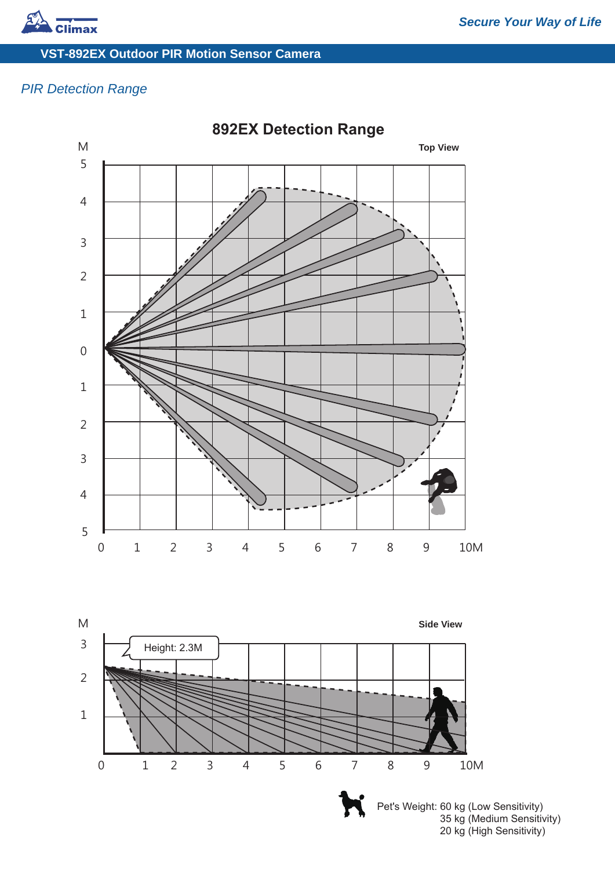

## **VST-892EX Outdoor PIR Motion Sensor Camera**

# *PIR Detection Range*



**892EX Detection Range**